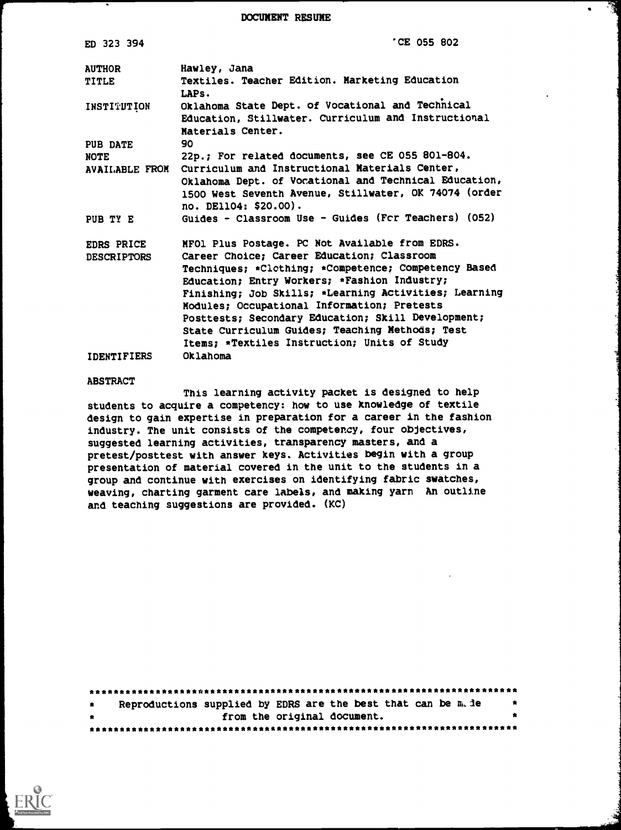DOCUMENT RESUME

| ED 323 394                    | 'CE 055 802                                                                                                                                                                               |
|-------------------------------|-------------------------------------------------------------------------------------------------------------------------------------------------------------------------------------------|
| <b>AUTHOR</b><br><b>TITLE</b> | Hawley, Jana<br>Textiles. Teacher Edition. Marketing Education<br>LAPs.                                                                                                                   |
| INSTITUTION                   | Oklahoma State Dept. of Vocational and Technical<br>Education, Stillwater. Curriculum and Instructional<br>Materials Center.                                                              |
| PUB DATE                      | 90                                                                                                                                                                                        |
| <b>NOTE</b>                   | 22p.; For related documents, see CE 055 801-804.                                                                                                                                          |
| AVAILABLE FROM                | Curriculum and Instructional Materials Center,<br>Oklahoma Dept. of Vocational and Technical Education,<br>1500 West Seventh Avenue, Stillwater, OK 74074 (order<br>no. DE1104: \$20.00). |
| PUB TY E                      | Guides - Classroom Use - Guides (For Teachers) (052)                                                                                                                                      |
| EDRS PRICE                    | MFOl Plus Postage. PC Not Available from EDRS.                                                                                                                                            |
| <b>DESCRIPTORS</b>            | Career Choice; Career Education; Classroom                                                                                                                                                |
|                               | Techniques; *Clothing; *Competence; Competency Based                                                                                                                                      |
|                               | Education; Entry Workers; *Fashion Industry;                                                                                                                                              |
|                               | Finishing; Job Skills; *Learning Activities; Learning                                                                                                                                     |
|                               | Modules; Occupational Information; Pretests                                                                                                                                               |
|                               | Posttests; Secondary Education; Skill Development;<br>State Curriculum Guides; Teaching Methods; Test                                                                                     |
|                               | Items; *Textiles Instruction; Units of Study                                                                                                                                              |
| <b>IDENTIFIERS</b>            | Oklahoma                                                                                                                                                                                  |

#### ABSTRACT

This learning activity packet is designed to help students to acquire a competency: how to use knowledge of textile design to gain expertise in preparation for a career in the fashion industry. The unit consists of the competency, four objectives, suggested learning activities, transparency masters, and a pretest/posttest with answer keys. Activities begin with a group presentation of material covered in the unit to the students in a group and continue with exercises on identifying fabric swatches, weaving, charting garment care labels, and making yarn An outline and teaching suggestions are provided. (KC)

| $\bullet$ | Reproductions supplied by EDRS are the best that can be m. de |  |                             | $\bullet$ |           |
|-----------|---------------------------------------------------------------|--|-----------------------------|-----------|-----------|
| $\bullet$ |                                                               |  | from the original document. |           | $\bullet$ |
|           |                                                               |  |                             |           |           |

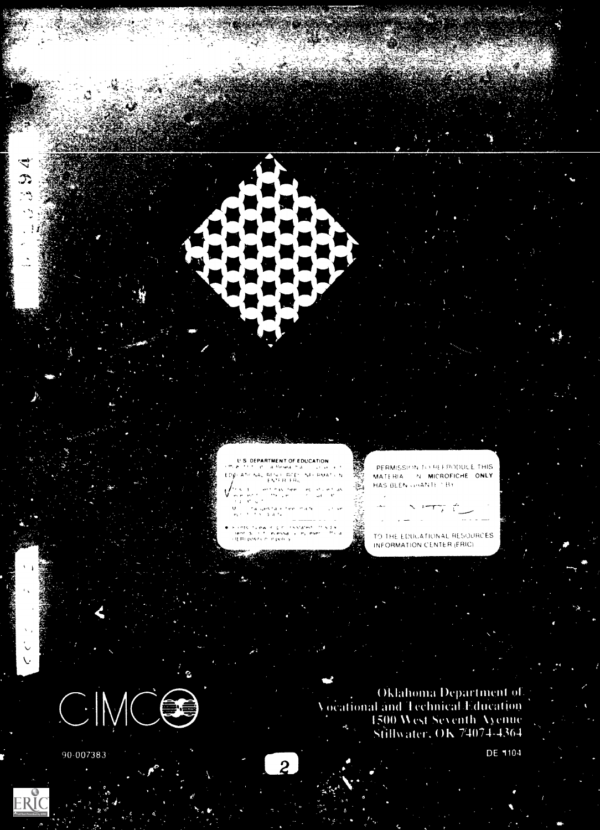**AND STAR** 

/... world ks (heel) and show e en en la compassion<br>Gallati de la companya<br>Callati de l

.<br>Ali ilina gestale teel mare.<br>Hari filminia ta

kings tvewir pricesstated in Film<br>Sentitus filmessally eyleser i frial<br>OERLposdain dippdry

PERMISSION TO REFRODUCE THIS MATERIA N MICROFICHE ONLY HAS BEEN UNANTE 1 BY

TAN S

TO THE EDUCATIONAL RESOURCES INFORMATION CENTER (ERIC)

Oklahoma Department of<br>Vocational and Technical Education 1500 West Seventh Ayenne Stillwater, OK 74074-4364



90-007383

ERI

لار<br>رو





DE 1104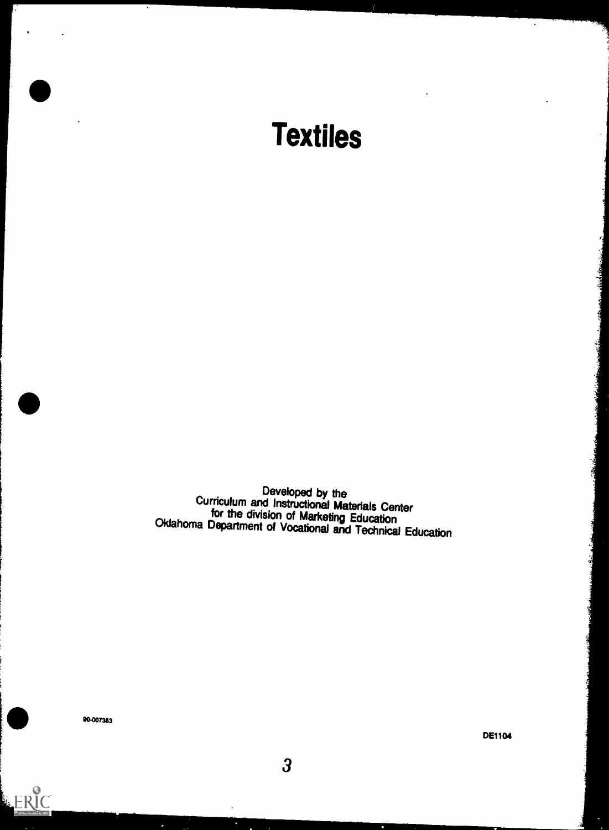

Developed by the<br>Curriculum and Instructional Materials Center for the division of Marketing Education<br>Oklahoma Department of Vocational and Technical Education

 $\overline{3}$ 

ERIC

DE1104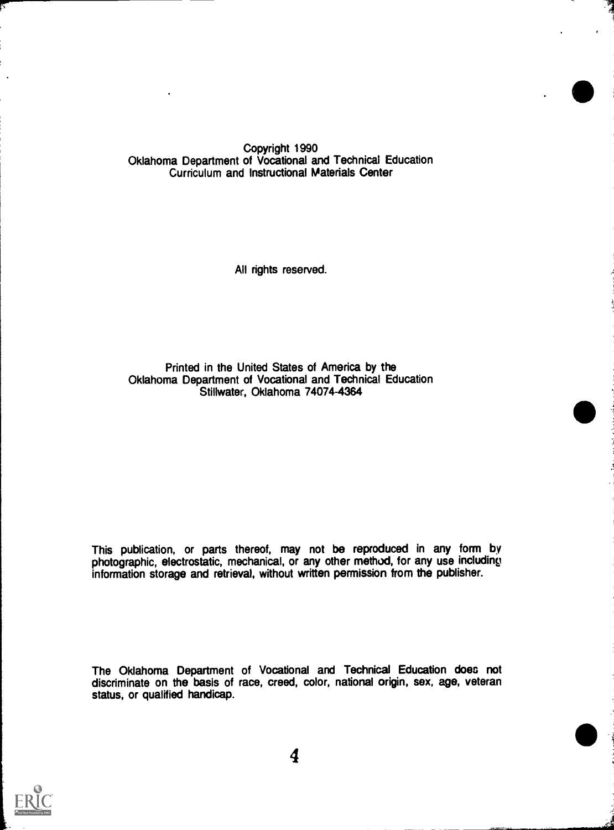Copyright 1990 Oklahoma Department of Vocational and Technical Education Curriculum and Instructional Materials Center

All rights reserved.

Printed in the United States of America by the Oklahoma Department of Vocational and Technical Education Stillwater, Oklahoma 74074-4364

This publication, or parts thereof, may not be reproduced in any form by photographic, electrostatic, mechanical, or any other method, for any use including information storage and retrieval, without written permission from the publisher.

The Oklahoma Department of Vocational and Technical Education does not discriminate on the basis of race, creed, color, national origin, sex, age, veteran status, or qualified handicap.

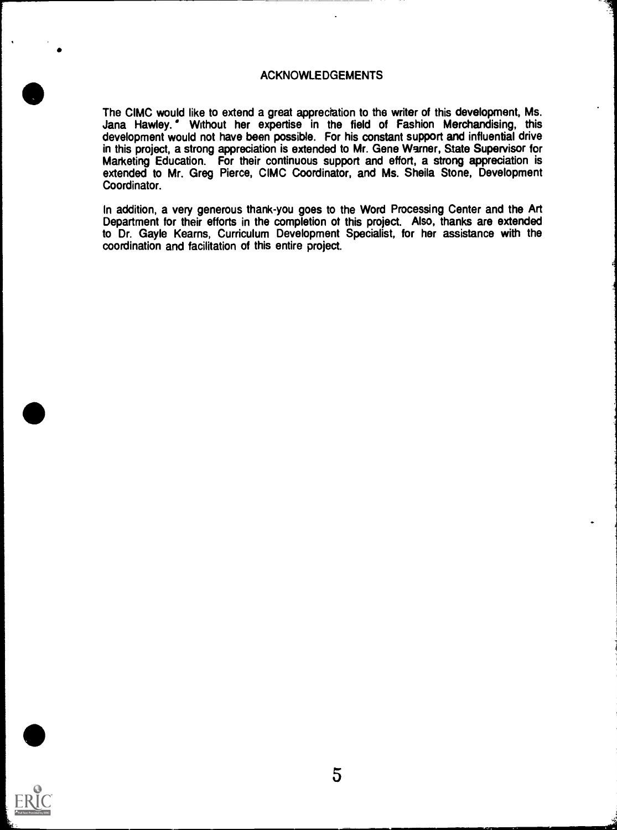#### ACKNOWLEDGEMENTS

The CIMC would like to extend a great appreciation to the writer of this development, Ms. Jana Hawley. ' Without her expertise in the field of Fashion Merchandising, this development would not have been possible. For his constant support and influential drive in this project, a strong appreciation is extended to Mr. Gene Warner, State Supervisor for Marketing Education. For their continuous support and effort, a strong appreciation is extended to Mr. Greg Pierce, CIMC Coordinator, and Ms. Sheila Stone, Development Coordinator.

In addition, a very generous thank-you goes to the Word Processing Center and the Art Department for their efforts in the completion ot this project. Also, thanks are extended to Dr. Gayle Kearns, Curriculum Development Specialist, for her assistance with the coordination and facilitation of this entire project.

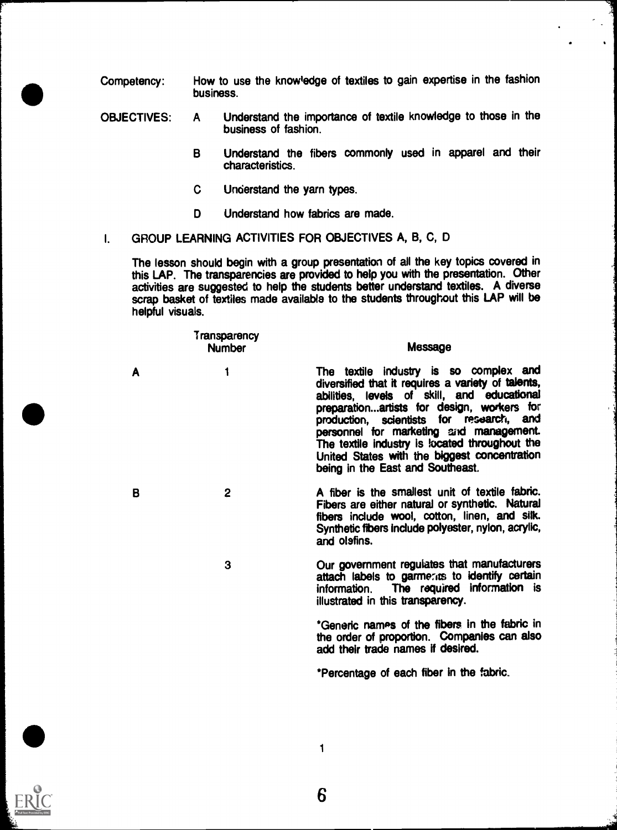Competency: How to use the knowledge of textiles to gain expertise in the fashion business.

- OBJECTIVES: A Understand the importance of textile knowledge to those in the business of fashion.
	- B Understand the fibers commonly used in apparel and their characteristics.
	- C Understand the yarn types.
	- D Understand how fabrics are made.
- I. GROUP LEARNING ACTIVITIES FOR OBJECTIVES A, B, C, D

The lesson should begin with a group presentation of all the key topics covered in this LAP. The transparencies are provided to help you with the presentation. Other activities are suggested to help the students better understand textiles. A diverse scrap basket of textiles made available to the students throughout this LAP will be helpful visuals.

|   | Transparency<br><b>Number</b> | Message                                                                                                                                                                                                                                                                                                                                                                                                                |  |
|---|-------------------------------|------------------------------------------------------------------------------------------------------------------------------------------------------------------------------------------------------------------------------------------------------------------------------------------------------------------------------------------------------------------------------------------------------------------------|--|
| A | 1                             | The textile industry is so complex and<br>diversified that it requires a variety of talents,<br>abilities, levels of skill, and educational<br>preparationartists for design, workers for<br>production, scientists for research, and<br>personnel for marketing and management.<br>The textile industry is located throughout the<br>United States with the biggest concentration<br>being in the East and Southeast. |  |
| B | $\mathbf{2}$                  | A fiber is the smallest unit of textile fabric.<br>Fibers are either natural or synthetic. Natural<br>fibers include wool, cotton, linen, and silk.<br>Synthetic fibers include polyester, nylon, acrylic,<br>and olefins.                                                                                                                                                                                             |  |
|   | 3                             | Our government regulates that manufacturers<br>attach labels to garmerits to identify certain<br>information. The required information is<br>illustrated in this transparency.                                                                                                                                                                                                                                         |  |
|   |                               | *Generic names of the fibers in the fabric in<br>the order of proportion. Companies can also<br>add their trade names if desired.                                                                                                                                                                                                                                                                                      |  |
|   |                               | *Percentage of each fiber in the fabric.                                                                                                                                                                                                                                                                                                                                                                               |  |
|   |                               |                                                                                                                                                                                                                                                                                                                                                                                                                        |  |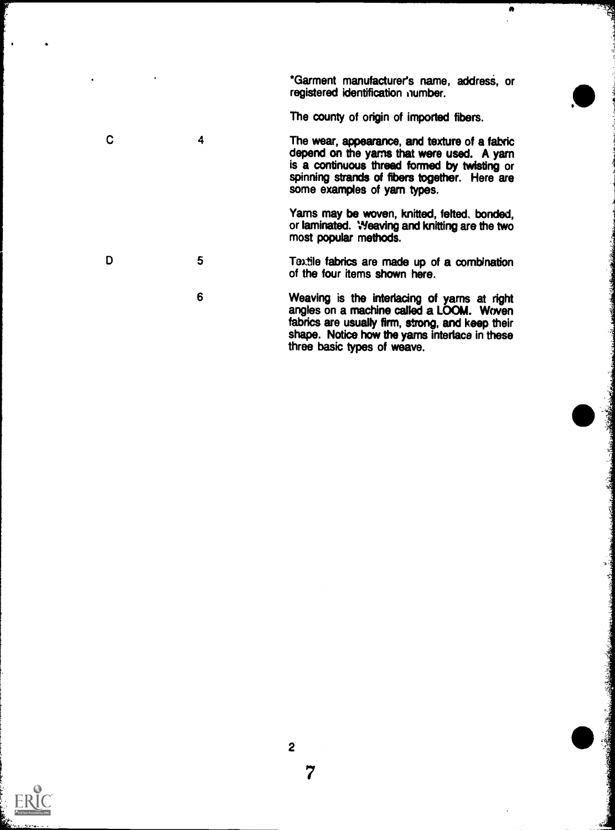\*Garment manufacturer's name, address, or registered identification number.

 $\bullet$ 

The county of origin of imported fibers.

 $\mathbf C$ 4 The wear, appearance, and texture of a fabric depend on the yarns that were used. A yarn is a continuous thread formed by twisting or spinning strands of fibers together. Here are some examples of yarn types.

Yams may be woven, knitted, felted, bonded, or laminated. Weaving and knitting are the two most popular methods.

- 5 Text le fabrics are made up of a combination of the four items shown here.
	- 6 Weaving is the interlacing of yams at right angles on a machine called a LOOM. Woven fabrics are usually firm, strong, and keep their shape. Notice how the yarns interlace in these three basic types of weave.



D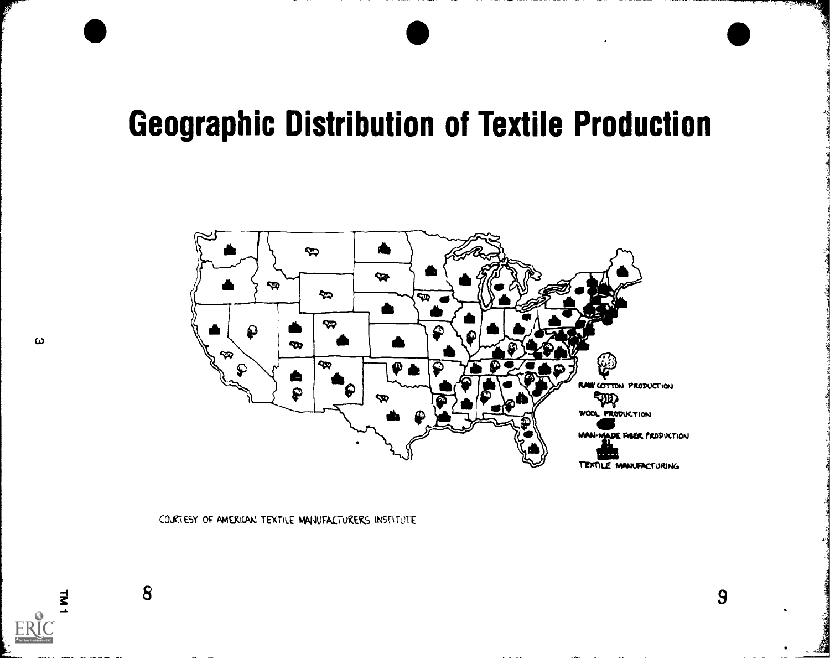# Geographic Distribution of Textile Production



COURTESY OF AMERICAN TEXTILE MANUFACTURERS INSTITUTE

 $\geq$  8 9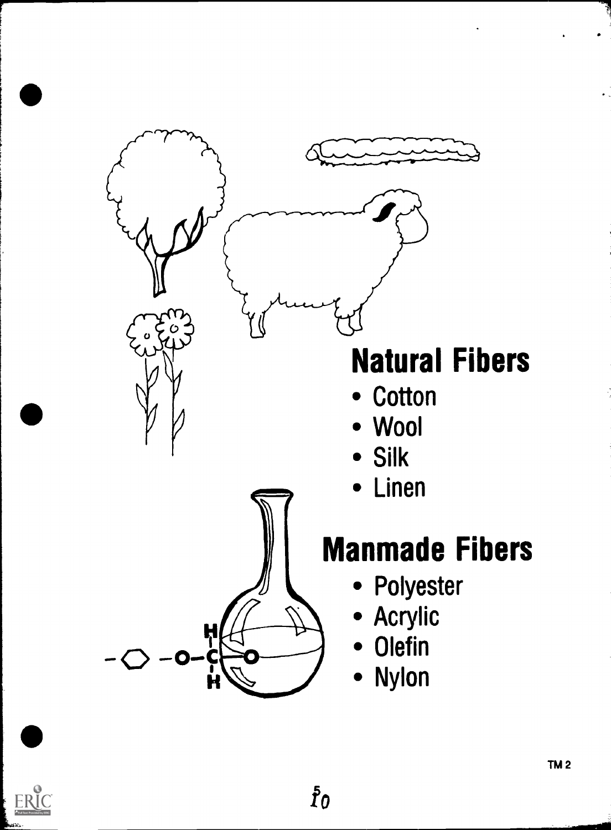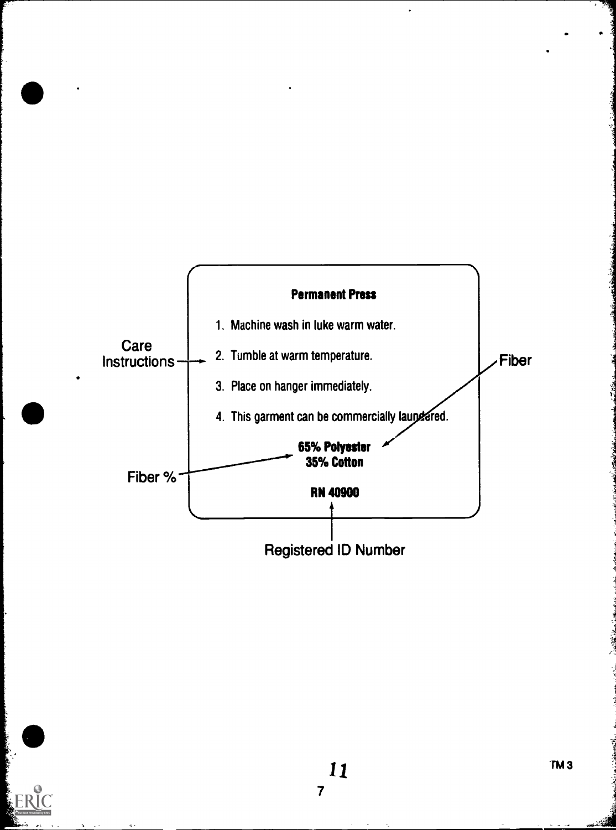

-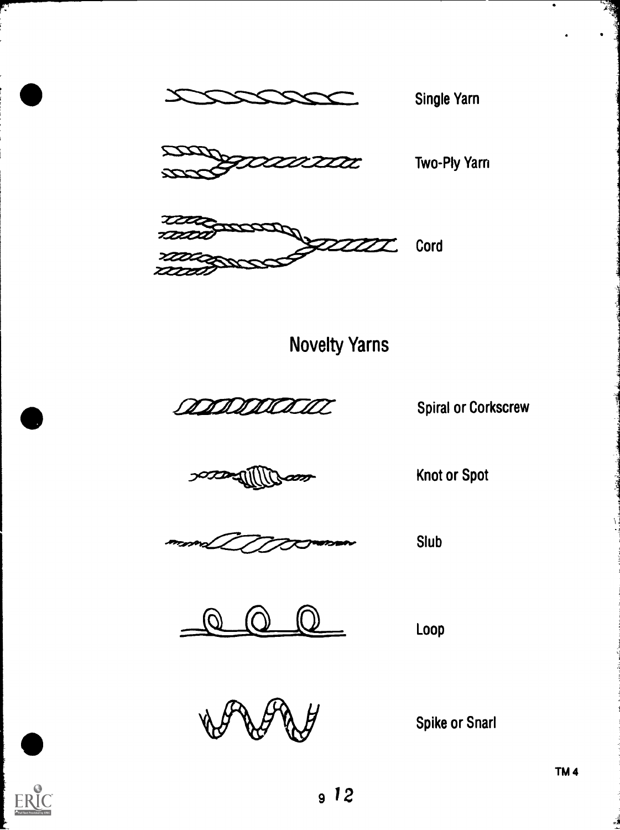

Single Yarn



Two-Ply Yarn





and Data Corkscrew Spiral or Corkscrew

**SOCONTIN** *con* 

Knot or Spot

Slub

 $\overline{Q}$   $\overline{Q}$  Loop  $\left( U\right)$ 

Loop

Spike or Snarl

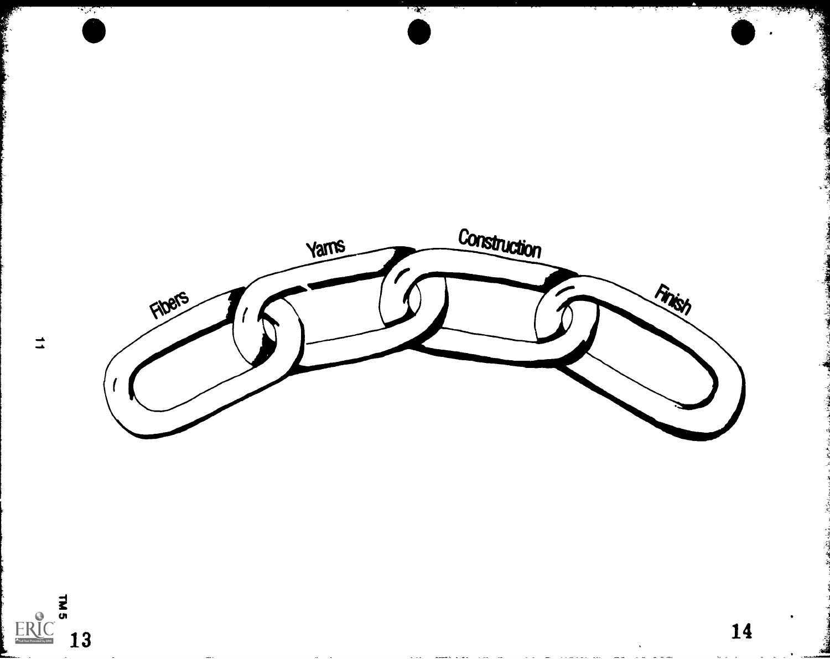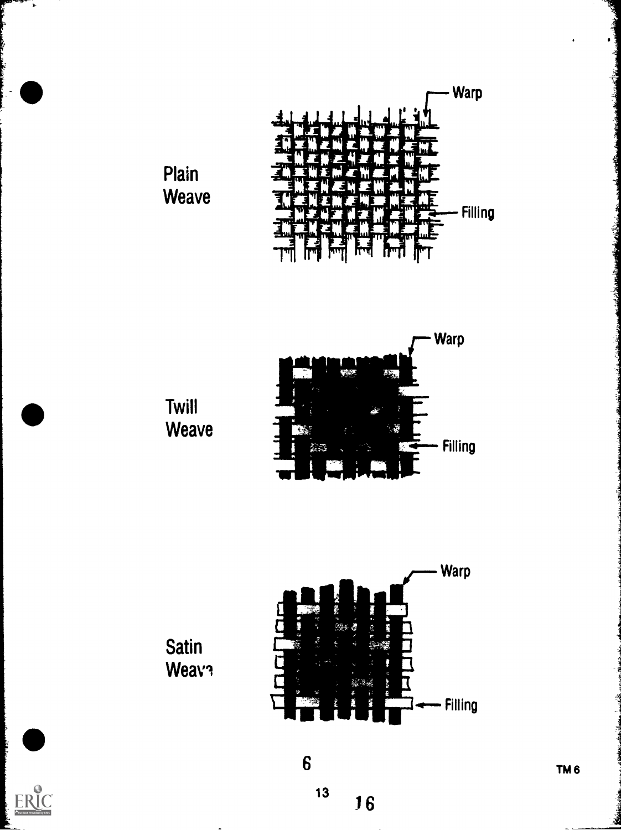



Twill Weave





 $\overline{6}$ 

13





 $\cdot$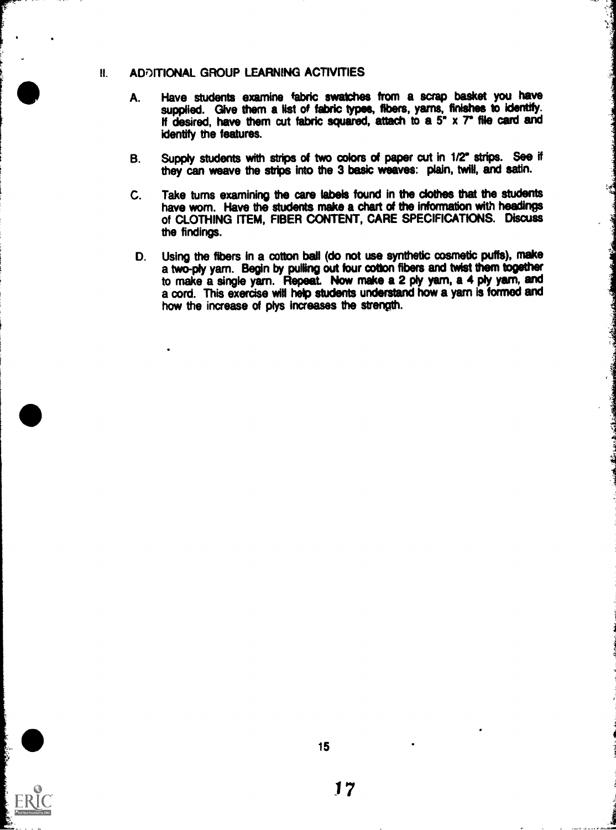## **II. ADDITIONAL GROUP LEARNING ACTIVITIES**

- A. Have students examine fabric swatches from a scrap basket you have supplied. Give them a list of fabric types, fibers, yarns, finishes to identify. If desired, have them cut fabric squared, attach to a 5" x 7" file card and identify the features.
- B. Supply students with strips of two colors of paper cut in 1/2" strips. See if they can weave the strips into the 3 basic weaves: plain, twill, and satin.
- C. Take turns examining the care labels found in the clothes that the students have worn. Have the students make a chart of the information with headings of CLOTHING ITEM, FIBER CONTENT, CARE SPECIFICATIONS. Discuss the findings.
- D. Using the fibers in a cotton ball (do not use synthetic cosmetic puffs), make a two-ply yam. Begin by pulling out four cotton fibers and twist them together to make a single yarn. Repeat. Now make a 2 ply yarn, a 4 ply yarn, and a cord. This exercise will help students understand how a yarn is formed and how the increase of plys increases the strength.



15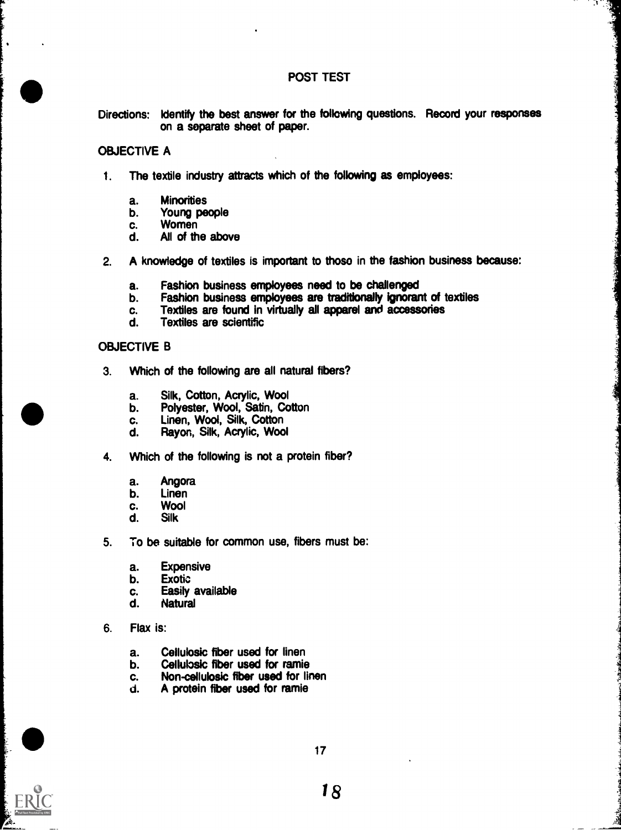#### POST TEST

À

Directions: Identify the best answer for the following questions. Record your responses on a separate sheet of paper.

#### OBJECTIVE A

- 1. The textile industry attracts which of the following as employees:
	- a. Minorities
	- b. Young people<br>c. Women
	- c. Women<br>d. All of th
	- All of the above
- 2. A knowledge of textiles is important to those in the fashion business because:
	- a. Fashion business employees need to be challenged
	- b. Fashion business employees are traditionally ignorant of textiles c.<br>c. Textiles are found in virtually all apparel and accessories
	- c. Textiles are found in virtually all apparel and accessories<br>d. Textiles are scientific
	- Textiles are scientific

#### OBJECTIVE B

- 3. Which of the following are all natural fibers?
	- a. Silk, Cotton, Acrylic, Wool
	- b. Polyester, Wool, Satin, Cotton
	- c. Linen, Wool, Silk, Cotton
	- d. Rayon, Silk, Acrylic, Wool
- 4. Which of the following is not a protein fiber?
	- a. Angora
	- b. Linen
	- c. Wool<br>d. Silk
	- **Silk**
- 5. To be suitable for common use, fibers must be:
	- a. Expensive<br>b. Exotic
	- **Exotic**
	- c. Easily available
	- d. Natural
- 6. Flax is:
	- a. Cellulosic fiber used for linen
	- b. Cellulosic fiber used for ramie<br>c. Non-cellulosic fiber used for lite
	- c. Non-cellulosic fiber used for linen<br>d. A protein fiber used for ramie
	- d. A protein fiber used for ramie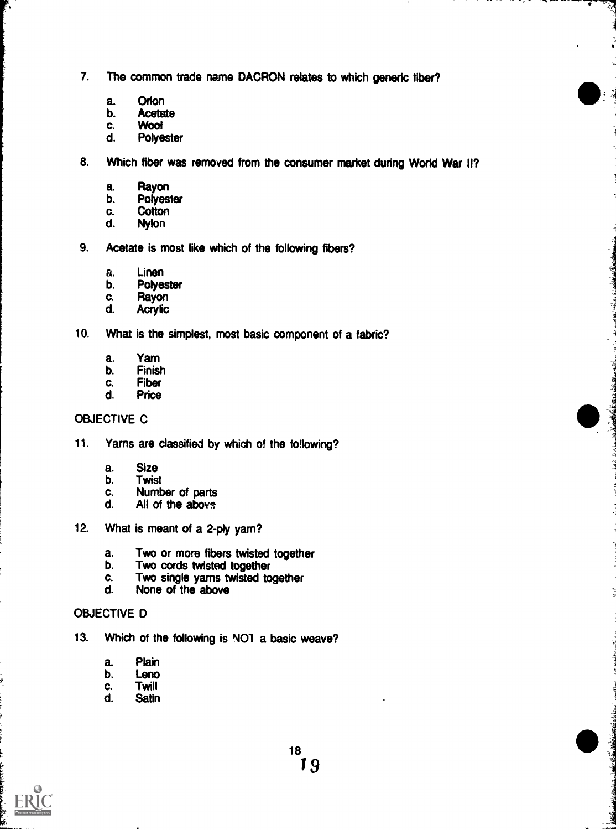- 7. The common trade name DACRON relates to which generic fiber?
	- a. Orlon<br>b. Acetat
	- **Acetate**
	- c. Wool<br>d. Polve
	- Polyester

8. Which fiber was removed from the consumer market during World War II?

Ş

- a. Rayon<br>b. Polyes
- **Polyester**
- c. Cotton<br>d. Nvlon
- **Nylon**
- 9. Acetate is most like which of the following fibers?
	- a. Linen<br>b. Polyes
	- b. Polyester<br>c. Ravon
	- c. Rayon<br>d. Acrylic
	- **Acrylic**
- 10. What is the simplest, most basic component of a fabric?
	- a. Yam<br>b. Finisl
	- b. Finish<br>c. Fiber
	- c. Fiber<br>d. Price
	- **Price**

### OBJECTIVE C

- 11. Yarns are classified by which of the following?
	- a. Size<br>b. Twist
	- b. Twist<br>c. Numb
	- c. Number of parts<br>d. All of the abovs
	- All of the above
- 12. What is meant of a 2-ply yarn?
	- a. Two or more fibers twisted together<br>b. Two cords twisted together
	- Two cords twisted together
	- c. Two single yarns twisted together<br>d. None of the above
	- None of the above

#### OBJECTIVE D

- 13. Which of the following is NO1 a basic weave?
	- a. Plain<br>b. Leno
	- b. Leno<br>c. Twill
	- c. Twill<br>d. Satin
	- **Satin**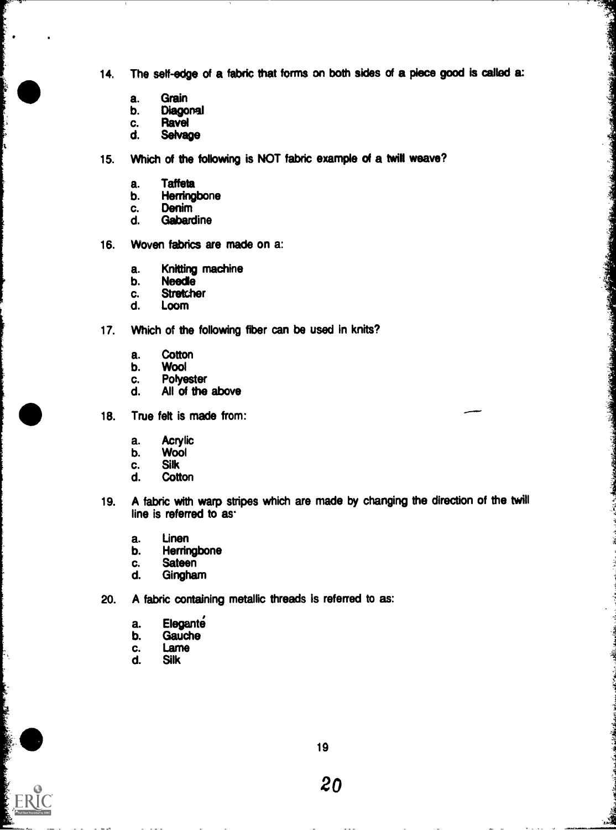14. The self-edge of a fabric that forms on both sides of a piece good is called a:

薄

诸

- a. Grain
- b. Diagonal<br>c. Ravel
- c. Ravel<br>d. Selva
- Selvage
- 15. Which of the following is NOT fabric example of a twill weave?
	- a. Taffeta<br>b. Herring
	- b. Herringbone<br>c. Denim
	- c. Denim<br>d. Gabard
	- **Gabardine**
- 16. Woven fabrics are made on a:
	- a. Knitting machine<br>b. Needle
	- **Needle**
	- c. Stretcher<br>d. Loom
	- Loom
- 17. Which of the following fiber can be used in knits?
	- a. Cotton<br>b. Wool
	- b. Wool<br>c. Polye
	- c. Polyester<br>d. All of the
	- All of the above
- 18. True felt is made from:
	- a. Acrylic<br>b. Wool
	- Wool
	- c. Silk<br>d. Cott
	- **Cotton**
- 19. A fabric with warp stripes which are made by changing the direction of the twill line is referred to as.
	- a. Linen
	- b. Herringbone<br>c. Sateen
	- c. Sateen<br>d. Ginghau
	- **Gingham**
- 20. A fabric containing metallic threads is referred to as:
	- a. Elegante<br>b. Gauche
	- **Gauche**
	- c. Lame<br>d. Silk
	- **Silk**

**ERI**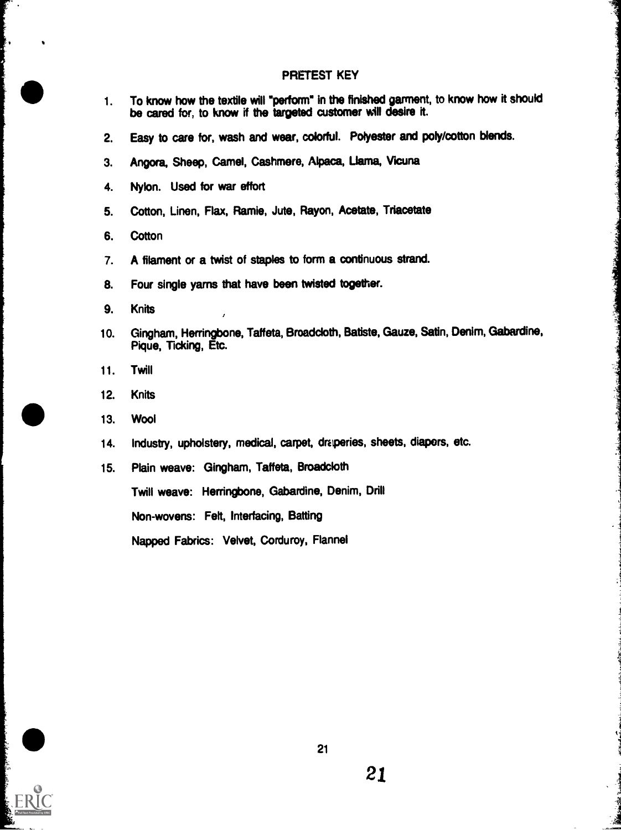#### PRETEST KEY

- 1. To know how the textile will 'perform" in the finished garment, to know how it should be cared for, to know if the targeted customer will desire it.
- 2. Easy to care for, wash and wear, colorful. Polyester and poly/cotton blends.
- 3. Angora, Sheep, Camel, Cashmere, Alpaca, Llama, Vicuna
- 4. Nylon. Used for war effort
- 5. Cotton, Linen, Flax, Ramie, Jute, Rayon, Acetate, Triacetate
- 6. Cotton

%

- 7. A filament or a twist of staples to form a continuous strand.
- 8. Four single yams that have been twisted together.
- 9. Knits
- 10. Gingham, Herringbone, Taffeta, Broadcloth, Batiste, Gauze, Satin, Denim, Gabardine, Pique, Ticking, Etc.
- 11. Twill
- 12. Knits
- 13. Wool
- 14. Industry, upholstery, medical, carpet, draperies, sheets, diapers, etc.
- 15. Plain weave: Gingham, Taffeta, Broadcloth

Twill weave: Herringbone, Gabardine, Denim, Drill

Non-wovens: Felt, Interfacing, Batting

Napped Fabrics: Velvet, Corduroy, Flannel



I